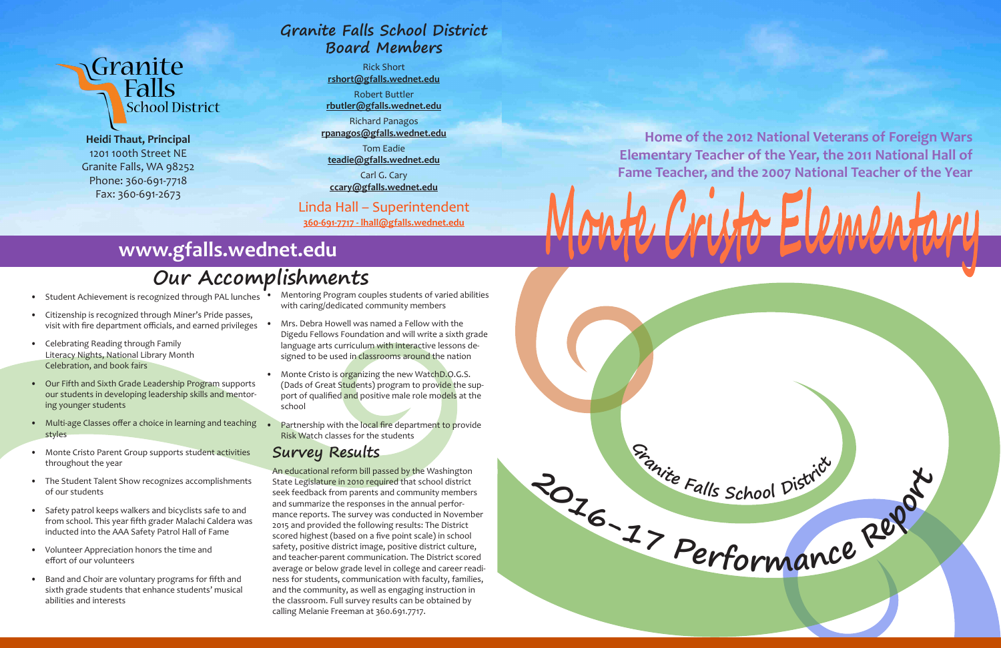

**<sup>G</sup>ranit<sup>e</sup> <sup>F</sup>all<sup>s</sup> <sup>S</sup>cho<sup>o</sup><sup>l</sup> <sup>D</sup>istric<sup>t</sup>**

# Granite<br>Ralls **School District**

**Heidi Thaut, Principal** 1201 100th Street NE Granite Falls, WA 98252 Phone: 360-691-7718 Fax: 360-691-2673

- Student Achievement is recognized through PAL lunches
- Citizenship is recognized through Miner's Pride passes, visit with fire department officials, and earned privileges
- Celebrating Reading through Family Literacy Nights, National Library Month Celebration, and book fairs
- Our Fifth and Sixth Grade Leadership Program supports our students in developing leadership skills and mentoring younger students
- Multi-age Classes offer a choice in learning and teaching styles
- Monte Cristo Parent Group supports student activities throughout the year
- The Student Talent Show recognizes accomplishments of our students
- Safety patrol keeps walkers and bicyclists safe to and from school. This year fifth grader Malachi Caldera was inducted into the AAA Safety Patrol Hall of Fame
- Volunteer Appreciation honors the time and effort of our volunteers
- Band and Choir are voluntary programs for fifth and sixth grade students that enhance students' musical abilities and interests
- Mentoring Program couples students of varied abilities with caring/dedicated community members
- Mrs. Debra Howell was named a Fellow with the Digedu Fellows Foundation and will write a sixth grade language arts curriculum with interactive lessons designed to be used in classrooms around the nation
- Monte Cristo is organizing the new WatchD.O.G.S. (Dads of Great Students) program to provide the support of qualified and positive male role models at the school
- Partnership with the local fire department to provide Risk Watch classes for the students

# **Our Accomplishments**

# **www.gfalls.wednet.edu**

**Home of the 2012 National Veterans of Foreign Wars Elementary Teacher of the Year, the 2011 National Hall of Fame Teacher, and the 2007 National Teacher of the Year**

# $A \cup P$  is the

## **Survey Results**

An educational reform bill passed by the Washington State Legislature in 2010 required that school district seek feedback from parents and community members and summarize the responses in the annual performance reports. The survey was conducted in November 2015 and provided the following results: The District scored highest (based on a five point scale) in school safety, positive district image, positive district culture, and teacher-parent communication. The District scored average or below grade level in college and career readiness for students, communication with faculty, families, and the community, as well as engaging instruction in the classroom. Full survey results can be obtained by calling Melanie Freeman at 360.691.7717.

# **Granite Falls School District Board Members**

Rick Short **rshort@gfalls.wednet.edu**

Robert Buttler **rbutler@gfalls.wednet.edu**

Richard Panagos **rpanagos@gfalls.wednet.edu**

Tom Eadie **teadie@gfalls.wednet.edu**

Carl G. Cary **ccary@gfalls.wednet.edu**

## Linda Hall – Superintendent

**360-691-7717 - lhall@gfalls.wednet.edu**